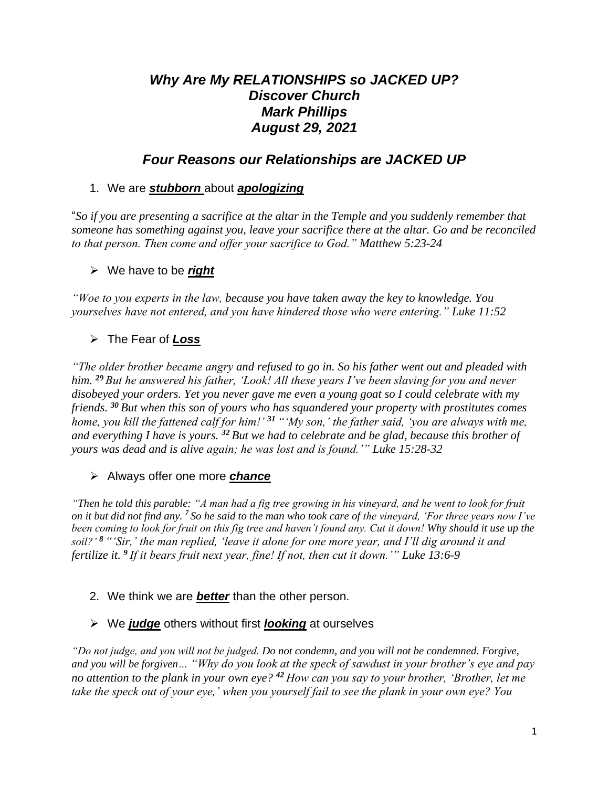# *Why Are My RELATIONSHIPS so JACKED UP? Discover Church Mark Phillips August 29, 2021*

# *Four Reasons our Relationships are JACKED UP*

### 1. We are *stubborn* about *apologizing*

"*So if you are presenting a sacrifice at the altar in the Temple and you suddenly remember that someone has something against you, leave your sacrifice there at the altar. Go and be reconciled to that person. Then come and offer your sacrifice to God." Matthew 5:23-24*

## ➢ We have to be *right*

*"Woe to you experts in the law, because you have taken away the key to knowledge. You yourselves have not entered, and you have hindered those who were entering." Luke 11:52*

## ➢ The Fear of *Loss*

*"The older brother became angry and refused to go in. So his father went out and pleaded with him. <sup>29</sup> But he answered his father, 'Look! All these years I've been slaving for you and never disobeyed your orders. Yet you never gave me even a young goat so I could celebrate with my friends. <sup>30</sup> But when this son of yours who has squandered your property with prostitutes comes home, you kill the fattened calf for him!' <sup>31</sup> "'My son,' the father said, 'you are always with me, and everything I have is yours. <sup>32</sup> But we had to celebrate and be glad, because this brother of yours was dead and is alive again; he was lost and is found.'" Luke 15:28-32*

#### ➢ Always offer one more *chance*

*"Then he told this parable: "A man had a fig tree growing in his vineyard, and he went to look for fruit on it but did not find any. <sup>7</sup> So he said to the man who took care of the vineyard, 'For three years now I've been coming to look for fruit on this fig tree and haven't found any. Cut it down! Why should it use up the soil?' <sup>8</sup> "'Sir,' the man replied, 'leave it alone for one more year, and I'll dig around it and fertilize it. 9 If it bears fruit next year, fine! If not, then cut it down.'" Luke 13:6-9*

#### 2. We think we are *better* than the other person.

## ➢ We *judge* others without first *looking* at ourselves

*"Do not judge, and you will not be judged. Do not condemn, and you will not be condemned. Forgive, and you will be forgiven… "Why do you look at the speck of sawdust in your brother's eye and pay no attention to the plank in your own eye? <sup>42</sup> How can you say to your brother, 'Brother, let me take the speck out of your eye,' when you yourself fail to see the plank in your own eye? You*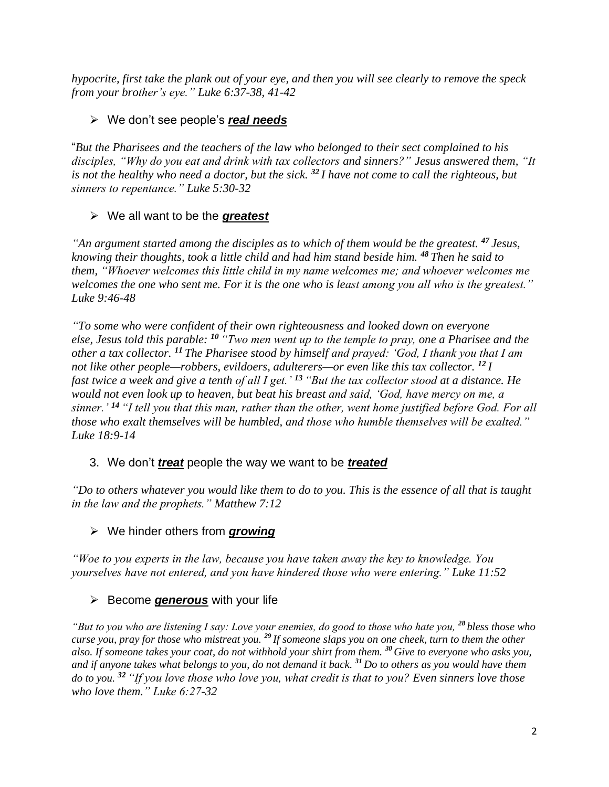*hypocrite, first take the plank out of your eye, and then you will see clearly to remove the speck from your brother's eye." Luke 6:37-38, 41-42*

### ➢ We don't see people's *real needs*

"*But the Pharisees and the teachers of the law who belonged to their sect complained to his disciples, "Why do you eat and drink with tax collectors and sinners?" Jesus answered them, "It is not the healthy who need a doctor, but the sick. <sup>32</sup> I have not come to call the righteous, but sinners to repentance." Luke 5:30-32*

## ➢ We all want to be the *greatest*

*"An argument started among the disciples as to which of them would be the greatest. <sup>47</sup> Jesus, knowing their thoughts, took a little child and had him stand beside him. <sup>48</sup> Then he said to them, "Whoever welcomes this little child in my name welcomes me; and whoever welcomes me welcomes the one who sent me. For it is the one who is least among you all who is the greatest." Luke 9:46-48*

*"To some who were confident of their own righteousness and looked down on everyone else, Jesus told this parable: <sup>10</sup> "Two men went up to the temple to pray, one a Pharisee and the other a tax collector. <sup>11</sup> The Pharisee stood by himself and prayed: 'God, I thank you that I am not like other people—robbers, evildoers, adulterers—or even like this tax collector. <sup>12</sup> I fast twice a week and give a tenth of all I get.' <sup>13</sup> "But the tax collector stood at a distance. He would not even look up to heaven, but beat his breast and said, 'God, have mercy on me, a sinner.' <sup>14</sup> "I tell you that this man, rather than the other, went home justified before God. For all those who exalt themselves will be humbled, and those who humble themselves will be exalted." Luke 18:9-14*

#### 3. We don't *treat* people the way we want to be *treated*

*"Do to others whatever you would like them to do to you. This is the essence of all that is taught in the law and the prophets." Matthew 7:12*

#### ➢ We hinder others from *growing*

*"Woe to you experts in the law, because you have taken away the key to knowledge. You yourselves have not entered, and you have hindered those who were entering." Luke 11:52*

## ➢ Become *generous* with your life

*"But to you who are listening I say: Love your enemies, do good to those who hate you, <sup>28</sup> bless those who curse you, pray for those who mistreat you. <sup>29</sup> If someone slaps you on one cheek, turn to them the other also. If someone takes your coat, do not withhold your shirt from them. <sup>30</sup> Give to everyone who asks you, and if anyone takes what belongs to you, do not demand it back. <sup>31</sup> Do to others as you would have them do to you. <sup>32</sup> "If you love those who love you, what credit is that to you? Even sinners love those who love them." Luke 6:27-32*